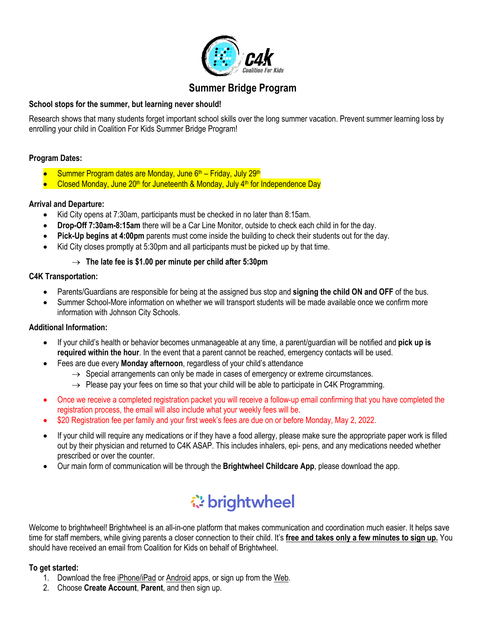

## **Summer Bridge Program**

#### **School stops for the summer, but learning never should!**

Research shows that many students forget important school skills over the long summer vacation. Prevent summer learning loss by enrolling your child in Coalition For Kids Summer Bridge Program!

#### **Program Dates:**

- Summer Program dates are Monday, June 6<sup>th</sup> Friday, July 29<sup>th</sup>
- Closed Monday, June 20<sup>th</sup> for Juneteenth & Monday, July 4<sup>th</sup> for Independence Day

#### **Arrival and Departure:**

- Kid City opens at 7:30am, participants must be checked in no later than 8:15am.
- **Drop-Off 7:30am-8:15am** there will be a Car Line Monitor, outside to check each child in for the day.
- **Pick-Up begins at 4:00pm** parents must come inside the building to check their students out for the day.
- Kid City closes promptly at 5:30pm and all participants must be picked up by that time.

#### $\rightarrow$  The late fee is \$1.00 per minute per child after 5:30pm

#### **C4K Transportation:**

- Parents/Guardians are responsible for being at the assigned bus stop and **signing the child ON and OFF** of the bus.
- Summer School-More information on whether we will transport students will be made available once we confirm more information with Johnson City Schools.

#### **Additional Information:**

- If your child's health or behavior becomes unmanageable at any time, a parent/guardian will be notified and **pick up is required within the hour**. In the event that a parent cannot be reached, emergency contacts will be used.
- Fees are due every **Monday afternoon**, regardless of your child's attendance
	- $\rightarrow$  Special arrangements can only be made in cases of emergency or extreme circumstances.
	- $\rightarrow$  Please pay your fees on time so that your child will be able to participate in C4K Programming.
- Once we receive a completed registration packet you will receive a follow-up email confirming that you have completed the registration process, the email will also include what your weekly fees will be.
- \$20 Registration fee per family and your first week's fees are due on or before Monday, May 2, 2022.
- If your child will require any medications or if they have a food allergy, please make sure the appropriate paper work is filled out by their physician and returned to C4K ASAP. This includes inhalers, epi- pens, and any medications needed whether prescribed or over the counter.
- Our main form of communication will be through the **Brightwheel Childcare App**, please download the app.

# *<u>☆</u>brightwheel*

Welcome to brightwheel! Brightwheel is an all-in-one platform that makes communication and coordination much easier. It helps save time for staff members, while giving parents a closer connection to their child. It's **free and takes only a few minutes to sign up.** You should have received an email from Coalition for Kids on behalf of Brightwheel.

#### **To get started:**

- 1. Download the free iPhone/iPad or Android apps, or sign up from the Web.
- 2. Choose **Create Account**, **Parent**, and then sign up.